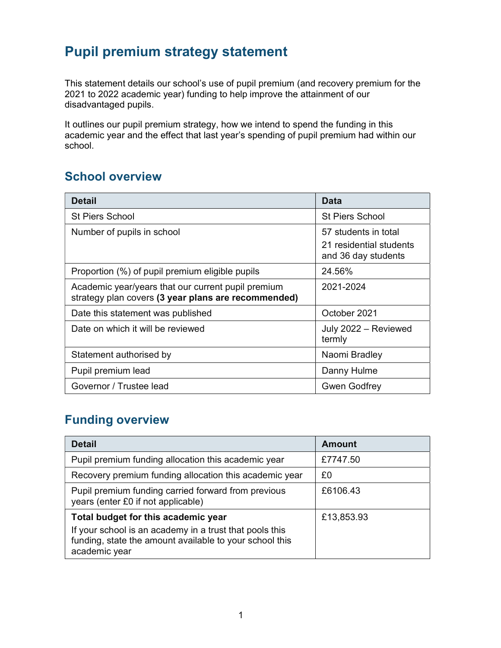## Pupil premium strategy statement

This statement details our school's use of pupil premium (and recovery premium for the 2021 to 2022 academic year) funding to help improve the attainment of our disadvantaged pupils.

It outlines our pupil premium strategy, how we intend to spend the funding in this academic year and the effect that last year's spending of pupil premium had within our school.

#### School overview

| <b>Detail</b>                                                                                             | Data                                                                   |  |
|-----------------------------------------------------------------------------------------------------------|------------------------------------------------------------------------|--|
| <b>St Piers School</b>                                                                                    | <b>St Piers School</b>                                                 |  |
| Number of pupils in school                                                                                | 57 students in total<br>21 residential students<br>and 36 day students |  |
| Proportion (%) of pupil premium eligible pupils                                                           | 24.56%                                                                 |  |
| Academic year/years that our current pupil premium<br>strategy plan covers (3 year plans are recommended) | 2021-2024                                                              |  |
| Date this statement was published                                                                         | October 2021                                                           |  |
| Date on which it will be reviewed                                                                         | July 2022 - Reviewed<br>termly                                         |  |
| Statement authorised by                                                                                   | Naomi Bradley                                                          |  |
| Pupil premium lead                                                                                        | Danny Hulme                                                            |  |
| Governor / Trustee lead                                                                                   | <b>Gwen Godfrey</b>                                                    |  |

### Funding overview

| <b>Detail</b>                                                                                                                       | <b>Amount</b> |
|-------------------------------------------------------------------------------------------------------------------------------------|---------------|
| Pupil premium funding allocation this academic year                                                                                 | £7747.50      |
| Recovery premium funding allocation this academic year                                                                              | £0            |
| Pupil premium funding carried forward from previous<br>years (enter £0 if not applicable)                                           | £6106.43      |
| Total budget for this academic year                                                                                                 | £13,853.93    |
| If your school is an academy in a trust that pools this<br>funding, state the amount available to your school this<br>academic year |               |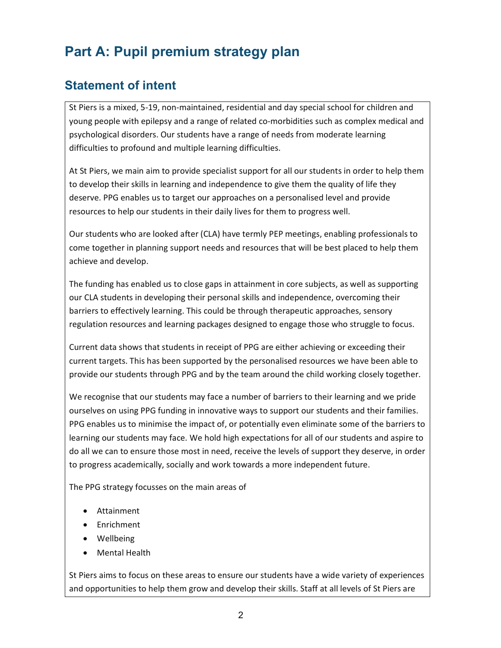# Part A: Pupil premium strategy plan

## Statement of intent

St Piers is a mixed, 5-19, non-maintained, residential and day special school for children and young people with epilepsy and a range of related co-morbidities such as complex medical and psychological disorders. Our students have a range of needs from moderate learning difficulties to profound and multiple learning difficulties.

At St Piers, we main aim to provide specialist support for all our students in order to help them to develop their skills in learning and independence to give them the quality of life they deserve. PPG enables us to target our approaches on a personalised level and provide resources to help our students in their daily lives for them to progress well.

Our students who are looked after (CLA) have termly PEP meetings, enabling professionals to come together in planning support needs and resources that will be best placed to help them achieve and develop.

The funding has enabled us to close gaps in attainment in core subjects, as well as supporting our CLA students in developing their personal skills and independence, overcoming their barriers to effectively learning. This could be through therapeutic approaches, sensory regulation resources and learning packages designed to engage those who struggle to focus.

Current data shows that students in receipt of PPG are either achieving or exceeding their current targets. This has been supported by the personalised resources we have been able to provide our students through PPG and by the team around the child working closely together.

We recognise that our students may face a number of barriers to their learning and we pride ourselves on using PPG funding in innovative ways to support our students and their families. PPG enables us to minimise the impact of, or potentially even eliminate some of the barriers to learning our students may face. We hold high expectations for all of our students and aspire to do all we can to ensure those most in need, receive the levels of support they deserve, in order to progress academically, socially and work towards a more independent future.

The PPG strategy focusses on the main areas of

- Attainment
- Enrichment
- Wellbeing
- Mental Health

St Piers aims to focus on these areas to ensure our students have a wide variety of experiences and opportunities to help them grow and develop their skills. Staff at all levels of St Piers are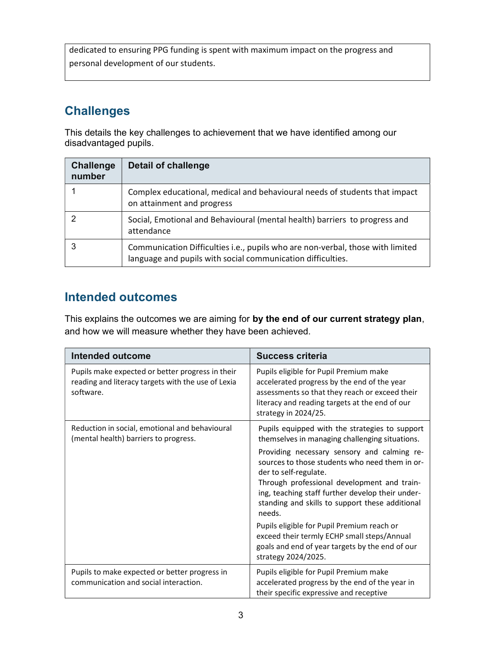dedicated to ensuring PPG funding is spent with maximum impact on the progress and personal development of our students.

## **Challenges**

This details the key challenges to achievement that we have identified among our disadvantaged pupils.

| <b>Challenge</b><br>number | <b>Detail of challenge</b>                                                                                                                    |
|----------------------------|-----------------------------------------------------------------------------------------------------------------------------------------------|
|                            | Complex educational, medical and behavioural needs of students that impact<br>on attainment and progress                                      |
|                            | Social, Emotional and Behavioural (mental health) barriers to progress and<br>attendance                                                      |
|                            | Communication Difficulties i.e., pupils who are non-verbal, those with limited<br>language and pupils with social communication difficulties. |

## Intended outcomes

This explains the outcomes we are aiming for by the end of our current strategy plan, and how we will measure whether they have been achieved.

| Intended outcome                                                                                                    | Success criteria                                                                                                                                                                                                                                                                       |
|---------------------------------------------------------------------------------------------------------------------|----------------------------------------------------------------------------------------------------------------------------------------------------------------------------------------------------------------------------------------------------------------------------------------|
| Pupils make expected or better progress in their<br>reading and literacy targets with the use of Lexia<br>software. | Pupils eligible for Pupil Premium make<br>accelerated progress by the end of the year<br>assessments so that they reach or exceed their<br>literacy and reading targets at the end of our<br>strategy in 2024/25.                                                                      |
| Reduction in social, emotional and behavioural<br>(mental health) barriers to progress.                             | Pupils equipped with the strategies to support<br>themselves in managing challenging situations.                                                                                                                                                                                       |
|                                                                                                                     | Providing necessary sensory and calming re-<br>sources to those students who need them in or-<br>der to self-regulate.<br>Through professional development and train-<br>ing, teaching staff further develop their under-<br>standing and skills to support these additional<br>needs. |
|                                                                                                                     | Pupils eligible for Pupil Premium reach or<br>exceed their termly ECHP small steps/Annual<br>goals and end of year targets by the end of our<br>strategy 2024/2025.                                                                                                                    |
| Pupils to make expected or better progress in<br>communication and social interaction.                              | Pupils eligible for Pupil Premium make<br>accelerated progress by the end of the year in<br>their specific expressive and receptive                                                                                                                                                    |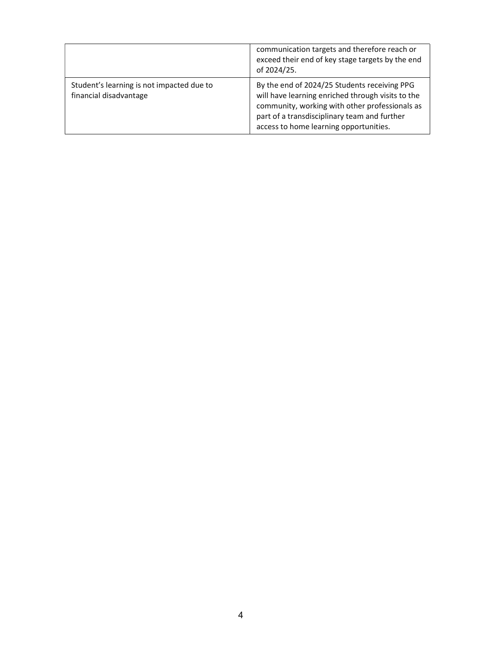|                                                                     | communication targets and therefore reach or<br>exceed their end of key stage targets by the end<br>of 2024/25.                                                                                                                               |
|---------------------------------------------------------------------|-----------------------------------------------------------------------------------------------------------------------------------------------------------------------------------------------------------------------------------------------|
| Student's learning is not impacted due to<br>financial disadvantage | By the end of 2024/25 Students receiving PPG<br>will have learning enriched through visits to the<br>community, working with other professionals as<br>part of a transdisciplinary team and further<br>access to home learning opportunities. |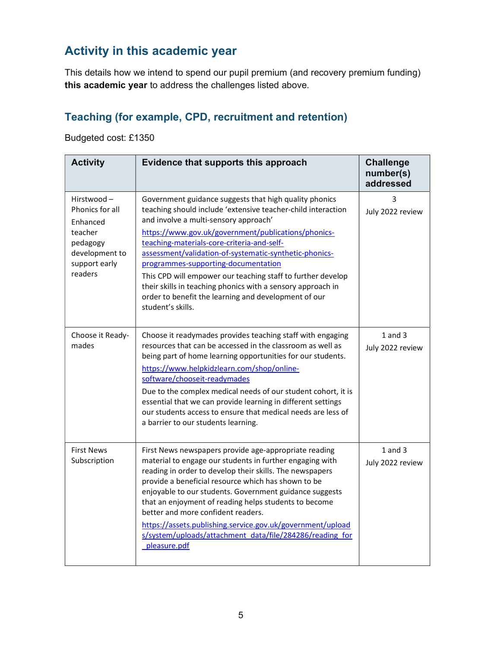## Activity in this academic year

This details how we intend to spend our pupil premium (and recovery premium funding) this academic year to address the challenges listed above.

#### Teaching (for example, CPD, recruitment and retention)

Budgeted cost: £1350

| <b>Activity</b>                                                                                                | Evidence that supports this approach                                                                                                                                                                                                                                                                                                                                                                                                                                                                                                                                             | <b>Challenge</b><br>number(s)<br>addressed |
|----------------------------------------------------------------------------------------------------------------|----------------------------------------------------------------------------------------------------------------------------------------------------------------------------------------------------------------------------------------------------------------------------------------------------------------------------------------------------------------------------------------------------------------------------------------------------------------------------------------------------------------------------------------------------------------------------------|--------------------------------------------|
| Hirstwood-<br>Phonics for all<br>Enhanced<br>teacher<br>pedagogy<br>development to<br>support early<br>readers | Government guidance suggests that high quality phonics<br>teaching should include 'extensive teacher-child interaction<br>and involve a multi-sensory approach'<br>https://www.gov.uk/government/publications/phonics-<br>teaching-materials-core-criteria-and-self-<br>assessment/validation-of-systematic-synthetic-phonics-<br>programmes-supporting-documentation<br>This CPD will empower our teaching staff to further develop<br>their skills in teaching phonics with a sensory approach in<br>order to benefit the learning and development of our<br>student's skills. | 3<br>July 2022 review                      |
| Choose it Ready-<br>mades                                                                                      | Choose it readymades provides teaching staff with engaging<br>resources that can be accessed in the classroom as well as<br>being part of home learning opportunities for our students.<br>https://www.helpkidzlearn.com/shop/online-<br>software/chooseit-readymades<br>Due to the complex medical needs of our student cohort, it is<br>essential that we can provide learning in different settings<br>our students access to ensure that medical needs are less of<br>a barrier to our students learning.                                                                    | $1$ and $3$<br>July 2022 review            |
| <b>First News</b><br>Subscription                                                                              | First News newspapers provide age-appropriate reading<br>material to engage our students in further engaging with<br>reading in order to develop their skills. The newspapers<br>provide a beneficial resource which has shown to be<br>enjoyable to our students. Government guidance suggests<br>that an enjoyment of reading helps students to become<br>better and more confident readers.<br>https://assets.publishing.service.gov.uk/government/upload<br>s/system/uploads/attachment_data/file/284286/reading_for<br>pleasure.pdf                                         | $1$ and $3$<br>July 2022 review            |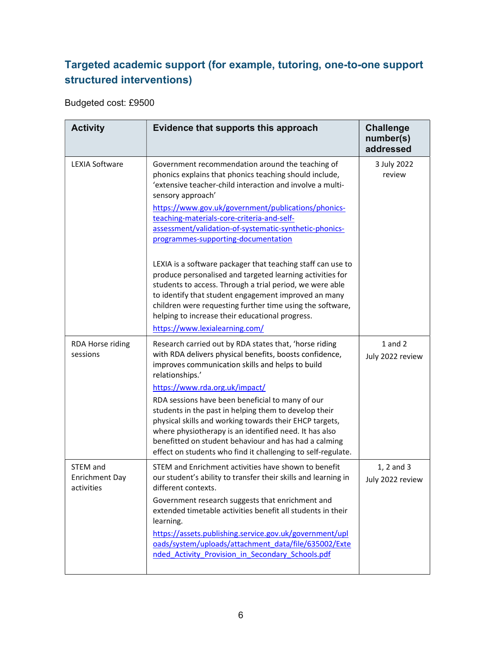### Targeted academic support (for example, tutoring, one-to-one support structured interventions)

Budgeted cost: £9500

| <b>Activity</b>                                 | Evidence that supports this approach                                                                                                                                                                                                                                                                                                                                                               | <b>Challenge</b><br>number(s)<br>addressed |
|-------------------------------------------------|----------------------------------------------------------------------------------------------------------------------------------------------------------------------------------------------------------------------------------------------------------------------------------------------------------------------------------------------------------------------------------------------------|--------------------------------------------|
| <b>LEXIA Software</b>                           | Government recommendation around the teaching of<br>phonics explains that phonics teaching should include,<br>'extensive teacher-child interaction and involve a multi-<br>sensory approach'<br>https://www.gov.uk/government/publications/phonics-<br>teaching-materials-core-criteria-and-self-<br>assessment/validation-of-systematic-synthetic-phonics-<br>programmes-supporting-documentation | 3 July 2022<br>review                      |
|                                                 | LEXIA is a software packager that teaching staff can use to<br>produce personalised and targeted learning activities for<br>students to access. Through a trial period, we were able<br>to identify that student engagement improved an many<br>children were requesting further time using the software,<br>helping to increase their educational progress.<br>https://www.lexialearning.com/     |                                            |
| RDA Horse riding<br>sessions                    | Research carried out by RDA states that, 'horse riding<br>with RDA delivers physical benefits, boosts confidence,<br>improves communication skills and helps to build<br>relationships.'<br>https://www.rda.org.uk/impact/                                                                                                                                                                         | $1$ and $2$<br>July 2022 review            |
|                                                 | RDA sessions have been beneficial to many of our<br>students in the past in helping them to develop their<br>physical skills and working towards their EHCP targets,<br>where physiotherapy is an identified need. It has also<br>benefitted on student behaviour and has had a calming<br>effect on students who find it challenging to self-regulate.                                            |                                            |
| STEM and<br><b>Enrichment Day</b><br>activities | STEM and Enrichment activities have shown to benefit<br>our student's ability to transfer their skills and learning in<br>different contexts.<br>Government research suggests that enrichment and                                                                                                                                                                                                  | 1, 2 and 3<br>July 2022 review             |
|                                                 | extended timetable activities benefit all students in their<br>learning.<br>https://assets.publishing.service.gov.uk/government/upl<br>oads/system/uploads/attachment_data/file/635002/Exte<br>nded Activity Provision in Secondary Schools.pdf                                                                                                                                                    |                                            |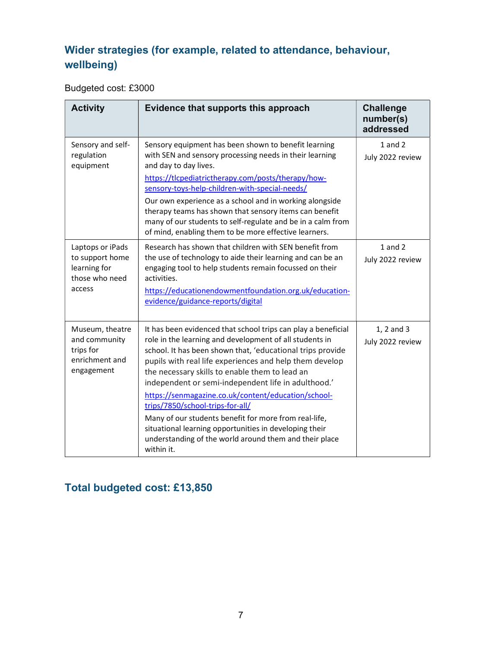## Wider strategies (for example, related to attendance, behaviour, wellbeing)

Budgeted cost: £3000

| <b>Activity</b>                                                                 | Evidence that supports this approach                                                                                                                                                                                                                                                                                                                                                                                                                                                                                                                                                                                                             | <b>Challenge</b><br>number(s)<br>addressed |
|---------------------------------------------------------------------------------|--------------------------------------------------------------------------------------------------------------------------------------------------------------------------------------------------------------------------------------------------------------------------------------------------------------------------------------------------------------------------------------------------------------------------------------------------------------------------------------------------------------------------------------------------------------------------------------------------------------------------------------------------|--------------------------------------------|
| Sensory and self-<br>regulation<br>equipment                                    | Sensory equipment has been shown to benefit learning<br>with SEN and sensory processing needs in their learning<br>and day to day lives.<br>https://tlcpediatrictherapy.com/posts/therapy/how-<br>sensory-toys-help-children-with-special-needs/<br>Our own experience as a school and in working alongside<br>therapy teams has shown that sensory items can benefit<br>many of our students to self-regulate and be in a calm from<br>of mind, enabling them to be more effective learners.                                                                                                                                                    | $1$ and $2$<br>July 2022 review            |
| Laptops or iPads<br>to support home<br>learning for<br>those who need<br>access | Research has shown that children with SEN benefit from<br>the use of technology to aide their learning and can be an<br>engaging tool to help students remain focussed on their<br>activities.<br>https://educationendowmentfoundation.org.uk/education-<br>evidence/guidance-reports/digital                                                                                                                                                                                                                                                                                                                                                    | $1$ and $2$<br>July 2022 review            |
| Museum, theatre<br>and community<br>trips for<br>enrichment and<br>engagement   | It has been evidenced that school trips can play a beneficial<br>role in the learning and development of all students in<br>school. It has been shown that, 'educational trips provide<br>pupils with real life experiences and help them develop<br>the necessary skills to enable them to lead an<br>independent or semi-independent life in adulthood.'<br>https://senmagazine.co.uk/content/education/school-<br>trips/7850/school-trips-for-all/<br>Many of our students benefit for more from real-life,<br>situational learning opportunities in developing their<br>understanding of the world around them and their place<br>within it. | 1, 2 and 3<br>July 2022 review             |

## Total budgeted cost: £13,850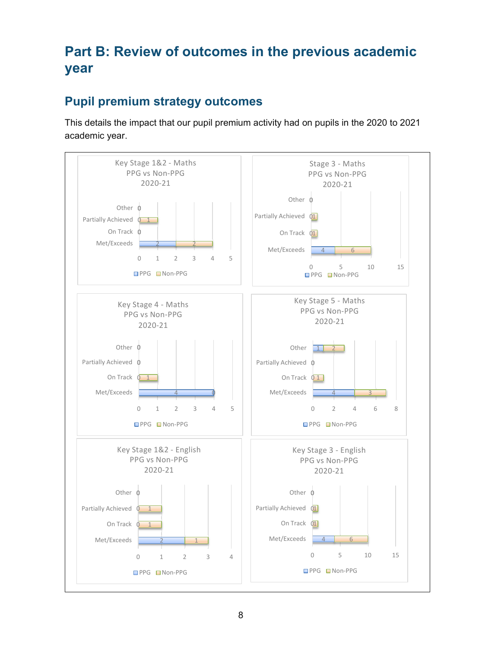# Part B: Review of outcomes in the previous academic year

### Pupil premium strategy outcomes

This details the impact that our pupil premium activity had on pupils in the 2020 to 2021 academic year.

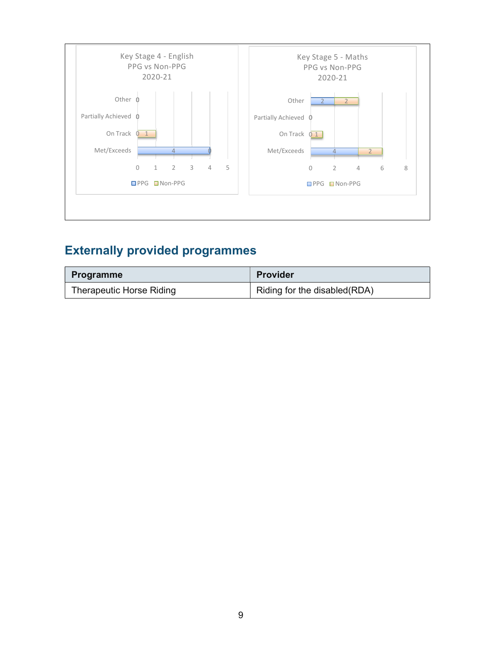

## Externally provided programmes

| <b>Programme</b>         | <b>Provider</b>              |
|--------------------------|------------------------------|
| Therapeutic Horse Riding | Riding for the disabled(RDA) |